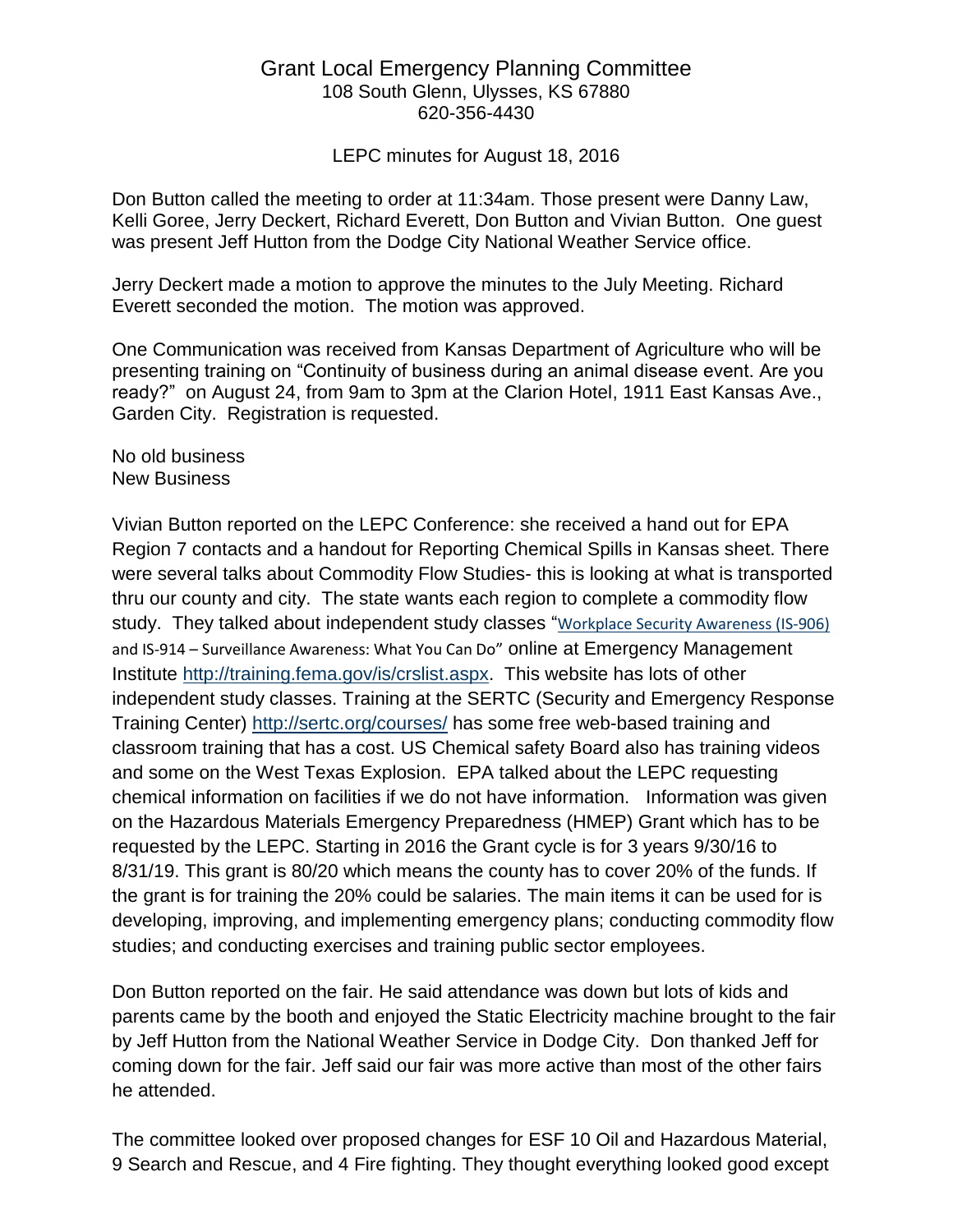## Grant Local Emergency Planning Committee 108 South Glenn, Ulysses, KS 67880 620-356-4430

LEPC minutes for August 18, 2016

Don Button called the meeting to order at 11:34am. Those present were Danny Law, Kelli Goree, Jerry Deckert, Richard Everett, Don Button and Vivian Button. One guest was present Jeff Hutton from the Dodge City National Weather Service office.

Jerry Deckert made a motion to approve the minutes to the July Meeting. Richard Everett seconded the motion. The motion was approved.

One Communication was received from Kansas Department of Agriculture who will be presenting training on "Continuity of business during an animal disease event. Are you ready?" on August 24, from 9am to 3pm at the Clarion Hotel, 1911 East Kansas Ave., Garden City. Registration is requested.

No old business New Business

Vivian Button reported on the LEPC Conference: she received a hand out for EPA Region 7 contacts and a handout for Reporting Chemical Spills in Kansas sheet. There were several talks about Commodity Flow Studies- this is looking at what is transported thru our county and city. The state wants each region to complete a commodity flow study. They talked about independent study classes "[Workplace Security Awareness \(IS-906\)](javascript:SendMeExternalURL() and IS-914 – Surveillance Awareness: What You Can Do" online at Emergency Management Institute [http://training.fema.gov/is/crslist.aspx.](http://training.fema.gov/is/crslist.aspx) This website has lots of other independent study classes. Training at the SERTC (Security and Emergency Response Training Center)<http://sertc.org/courses/> has some free web-based training and classroom training that has a cost. US Chemical safety Board also has training videos and some on the West Texas Explosion. EPA talked about the LEPC requesting chemical information on facilities if we do not have information. Information was given on the Hazardous Materials Emergency Preparedness (HMEP) Grant which has to be requested by the LEPC. Starting in 2016 the Grant cycle is for 3 years 9/30/16 to 8/31/19. This grant is 80/20 which means the county has to cover 20% of the funds. If the grant is for training the 20% could be salaries. The main items it can be used for is developing, improving, and implementing emergency plans; conducting commodity flow studies; and conducting exercises and training public sector employees.

Don Button reported on the fair. He said attendance was down but lots of kids and parents came by the booth and enjoyed the Static Electricity machine brought to the fair by Jeff Hutton from the National Weather Service in Dodge City. Don thanked Jeff for coming down for the fair. Jeff said our fair was more active than most of the other fairs he attended.

The committee looked over proposed changes for ESF 10 Oil and Hazardous Material, 9 Search and Rescue, and 4 Fire fighting. They thought everything looked good except